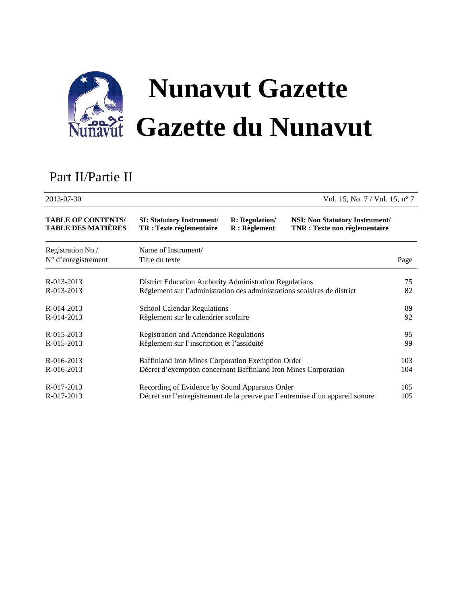

# Part II/Partie II

| 2013-07-30<br>Vol. 15, No. $7 /$ Vol. 15, n° 7         |                                                                               |                                         |                                                                               |      |
|--------------------------------------------------------|-------------------------------------------------------------------------------|-----------------------------------------|-------------------------------------------------------------------------------|------|
| <b>TABLE OF CONTENTS/</b><br><b>TABLE DES MATIÈRES</b> | <b>SI: Statutory Instrument/</b><br>TR : Texte réglementaire                  | <b>R:</b> Regulation/<br>$R:$ Règlement | <b>NSI:</b> Non Statutory Instrument/<br><b>TNR</b> : Texte non réglementaire |      |
| Registration No./<br>N° d'enregistrement               | Name of Instrument/<br>Titre du texte                                         |                                         |                                                                               | Page |
| R-013-2013                                             | District Education Authority Administration Regulations                       |                                         |                                                                               | 75   |
| R-013-2013                                             | Règlement sur l'administration des administrations scolaires de district      |                                         |                                                                               | 82   |
| R-014-2013                                             | <b>School Calendar Regulations</b>                                            |                                         |                                                                               | 89   |
| R-014-2013                                             | Règlement sur le calendrier scolaire                                          |                                         |                                                                               | 92   |
| $R - 015 - 2013$                                       | <b>Registration and Attendance Regulations</b>                                |                                         |                                                                               | 95   |
| R-015-2013                                             | Règlement sur l'inscription et l'assiduité                                    |                                         |                                                                               | 99   |
| R-016-2013                                             | Baffinland Iron Mines Corporation Exemption Order                             |                                         |                                                                               | 103  |
| R-016-2013                                             | Décret d'exemption concernant Baffinland Iron Mines Corporation               |                                         |                                                                               | 104  |
| R-017-2013                                             | Recording of Evidence by Sound Apparatus Order                                |                                         |                                                                               | 105  |
| R-017-2013                                             | Décret sur l'enregistrement de la preuve par l'entremise d'un appareil sonore |                                         |                                                                               | 105  |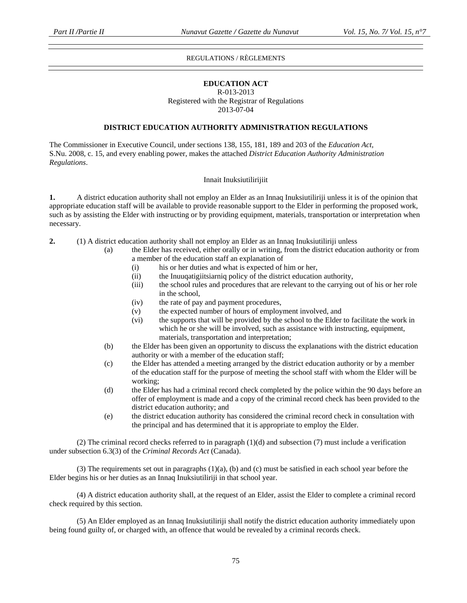### REGULATIONS / RÈGLEMENTS

### **EDUCATION ACT**

#### R-013-2013 Registered with the Registrar of Regulations 2013-07-04

### **DISTRICT EDUCATION AUTHORITY ADMINISTRATION REGULATIONS**

The Commissioner in Executive Council, under sections 138, 155, 181, 189 and 203 of the *Education Act,*  S.Nu. 2008, c. 15, and every enabling power, makes the attached *District Education Authority Administration Regulations*.

#### Innait Inuksiutilirijiit

**1.** A district education authority shall not employ an Elder as an Innaq Inuksiutiliriji unless it is of the opinion that appropriate education staff will be available to provide reasonable support to the Elder in performing the proposed work, such as by assisting the Elder with instructing or by providing equipment, materials, transportation or interpretation when necessary.

- **2.** (1) A district education authority shall not employ an Elder as an Innaq Inuksiutiliriji unless
	- (a) the Elder has received, either orally or in writing, from the district education authority or from a member of the education staff an explanation of
		- (i) his or her duties and what is expected of him or her,
		- (ii) the Inuuqatigiitsiarniq policy of the district education authority,
		- (iii) the school rules and procedures that are relevant to the carrying out of his or her role in the school,
		- (iv) the rate of pay and payment procedures,
		- (v) the expected number of hours of employment involved, and
		- (vi) the supports that will be provided by the school to the Elder to facilitate the work in which he or she will be involved, such as assistance with instructing, equipment, materials, transportation and interpretation;
	- (b) the Elder has been given an opportunity to discuss the explanations with the district education authority or with a member of the education staff;
	- (c) the Elder has attended a meeting arranged by the district education authority or by a member of the education staff for the purpose of meeting the school staff with whom the Elder will be working;
	- (d) the Elder has had a criminal record check completed by the police within the 90 days before an offer of employment is made and a copy of the criminal record check has been provided to the district education authority; and
	- (e) the district education authority has considered the criminal record check in consultation with the principal and has determined that it is appropriate to employ the Elder.

 (2) The criminal record checks referred to in paragraph (1)(d) and subsection (7) must include a verification under subsection 6.3(3) of the *Criminal Records Act* (Canada).

 (3) The requirements set out in paragraphs (1)(a), (b) and (c) must be satisfied in each school year before the Elder begins his or her duties as an Innaq Inuksiutiliriji in that school year.

(4) A district education authority shall, at the request of an Elder, assist the Elder to complete a criminal record check required by this section.

 (5) An Elder employed as an Innaq Inuksiutiliriji shall notify the district education authority immediately upon being found guilty of, or charged with, an offence that would be revealed by a criminal records check.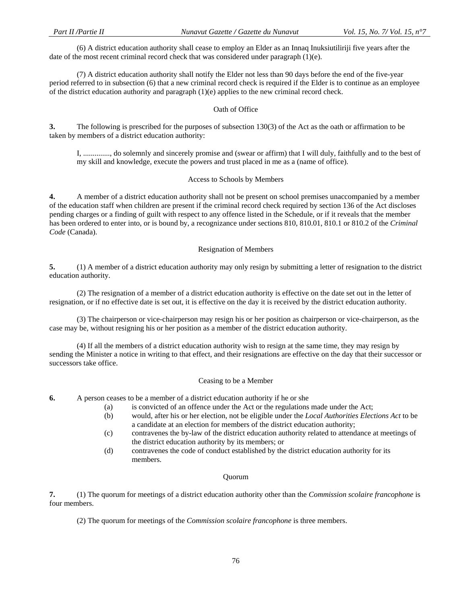(6) A district education authority shall cease to employ an Elder as an Innaq Inuksiutiliriji five years after the date of the most recent criminal record check that was considered under paragraph (1)(e).

 (7) A district education authority shall notify the Elder not less than 90 days before the end of the five-year period referred to in subsection (6) that a new criminal record check is required if the Elder is to continue as an employee of the district education authority and paragraph (1)(e) applies to the new criminal record check.

### Oath of Office

**3.** The following is prescribed for the purposes of subsection 130(3) of the Act as the oath or affirmation to be taken by members of a district education authority:

I, .............., do solemnly and sincerely promise and (swear or affirm) that I will duly, faithfully and to the best of my skill and knowledge, execute the powers and trust placed in me as a (name of office).

#### Access to Schools by Members

**4.** A member of a district education authority shall not be present on school premises unaccompanied by a member of the education staff when children are present if the criminal record check required by section 136 of the Act discloses pending charges or a finding of guilt with respect to any offence listed in the Schedule, or if it reveals that the member has been ordered to enter into, or is bound by, a recognizance under sections 810, 810.01, 810.1 or 810.2 of the *Criminal Code* (Canada).

### Resignation of Members

**5.** (1) A member of a district education authority may only resign by submitting a letter of resignation to the district education authority.

 (2) The resignation of a member of a district education authority is effective on the date set out in the letter of resignation, or if no effective date is set out, it is effective on the day it is received by the district education authority.

 (3) The chairperson or vice-chairperson may resign his or her position as chairperson or vice-chairperson, as the case may be, without resigning his or her position as a member of the district education authority.

 (4) If all the members of a district education authority wish to resign at the same time, they may resign by sending the Minister a notice in writing to that effect, and their resignations are effective on the day that their successor or successors take office.

### Ceasing to be a Member

**6.** A person ceases to be a member of a district education authority if he or she

- (a) is convicted of an offence under the Act or the regulations made under the Act;
	- (b) would, after his or her election, not be eligible under the *Local Authorities Elections Act* to be a candidate at an election for members of the district education authority;
	- (c) contravenes the by-law of the district education authority related to attendance at meetings of the district education authority by its members; or
	- (d) contravenes the code of conduct established by the district education authority for its members.

#### Quorum

**7.** (1) The quorum for meetings of a district education authority other than the *Commission scolaire francophone* is four members.

(2) The quorum for meetings of the *Commission scolaire francophone* is three members.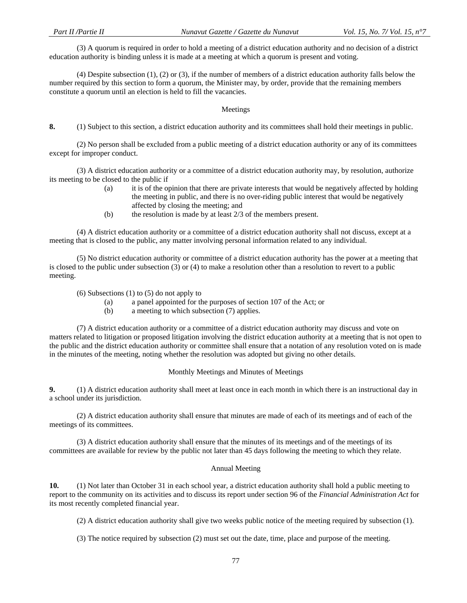(3) A quorum is required in order to hold a meeting of a district education authority and no decision of a district education authority is binding unless it is made at a meeting at which a quorum is present and voting.

 (4) Despite subsection (1), (2) or (3), if the number of members of a district education authority falls below the number required by this section to form a quorum, the Minister may, by order, provide that the remaining members constitute a quorum until an election is held to fill the vacancies.

#### Meetings

**8.** (1) Subject to this section, a district education authority and its committees shall hold their meetings in public.

 (2) No person shall be excluded from a public meeting of a district education authority or any of its committees except for improper conduct.

 (3) A district education authority or a committee of a district education authority may, by resolution, authorize its meeting to be closed to the public if

- (a) it is of the opinion that there are private interests that would be negatively affected by holding the meeting in public, and there is no over-riding public interest that would be negatively affected by closing the meeting; and
- (b) the resolution is made by at least 2/3 of the members present.

 (4) A district education authority or a committee of a district education authority shall not discuss, except at a meeting that is closed to the public, any matter involving personal information related to any individual.

 (5) No district education authority or committee of a district education authority has the power at a meeting that is closed to the public under subsection (3) or (4) to make a resolution other than a resolution to revert to a public meeting.

(6) Subsections (1) to (5) do not apply to

- (a) a panel appointed for the purposes of section 107 of the Act; or
- (b) a meeting to which subsection (7) applies.

 (7) A district education authority or a committee of a district education authority may discuss and vote on matters related to litigation or proposed litigation involving the district education authority at a meeting that is not open to the public and the district education authority or committee shall ensure that a notation of any resolution voted on is made in the minutes of the meeting, noting whether the resolution was adopted but giving no other details.

#### Monthly Meetings and Minutes of Meetings

**9.** (1) A district education authority shall meet at least once in each month in which there is an instructional day in a school under its jurisdiction.

 (2) A district education authority shall ensure that minutes are made of each of its meetings and of each of the meetings of its committees.

 (3) A district education authority shall ensure that the minutes of its meetings and of the meetings of its committees are available for review by the public not later than 45 days following the meeting to which they relate.

#### Annual Meeting

**10.** (1) Not later than October 31 in each school year, a district education authority shall hold a public meeting to report to the community on its activities and to discuss its report under section 96 of the *Financial Administration Act* for its most recently completed financial year.

(2) A district education authority shall give two weeks public notice of the meeting required by subsection (1).

(3) The notice required by subsection (2) must set out the date, time, place and purpose of the meeting.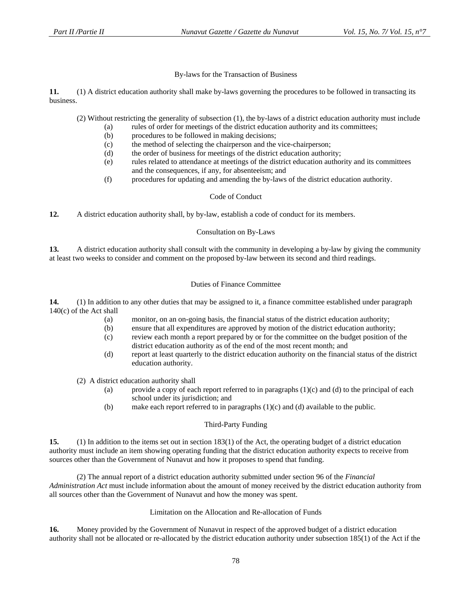By-laws for the Transaction of Business

**11.** (1) A district education authority shall make by-laws governing the procedures to be followed in transacting its business.

(2) Without restricting the generality of subsection (1), the by-laws of a district education authority must include

- (a) rules of order for meetings of the district education authority and its committees;
	- (b) procedures to be followed in making decisions;
	- (c) the method of selecting the chairperson and the vice-chairperson;
	- (d) the order of business for meetings of the district education authority;
	- (e) rules related to attendance at meetings of the district education authority and its committees and the consequences, if any, for absenteeism; and
	- (f) procedures for updating and amending the by-laws of the district education authority.

### Code of Conduct

**12.** A district education authority shall, by by-law, establish a code of conduct for its members.

### Consultation on By-Laws

**13.** A district education authority shall consult with the community in developing a by-law by giving the community at least two weeks to consider and comment on the proposed by-law between its second and third readings.

### Duties of Finance Committee

**14.** (1) In addition to any other duties that may be assigned to it, a finance committee established under paragraph 140(c) of the Act shall

- (a) monitor, on an on-going basis, the financial status of the district education authority;
- (b) ensure that all expenditures are approved by motion of the district education authority;
- (c) review each month a report prepared by or for the committee on the budget position of the district education authority as of the end of the most recent month; and
- (d) report at least quarterly to the district education authority on the financial status of the district education authority.

(2) A district education authority shall

- (a) provide a copy of each report referred to in paragraphs  $(1)(c)$  and  $(d)$  to the principal of each school under its jurisdiction; and
- (b) make each report referred to in paragraphs (1)(c) and (d) available to the public.

### Third-Party Funding

**15.** (1) In addition to the items set out in section 183(1) of the Act, the operating budget of a district education authority must include an item showing operating funding that the district education authority expects to receive from sources other than the Government of Nunavut and how it proposes to spend that funding.

 (2) The annual report of a district education authority submitted under section 96 of the *Financial Administration Act* must include information about the amount of money received by the district education authority from all sources other than the Government of Nunavut and how the money was spent.

#### Limitation on the Allocation and Re-allocation of Funds

**16.** Money provided by the Government of Nunavut in respect of the approved budget of a district education authority shall not be allocated or re-allocated by the district education authority under subsection 185(1) of the Act if the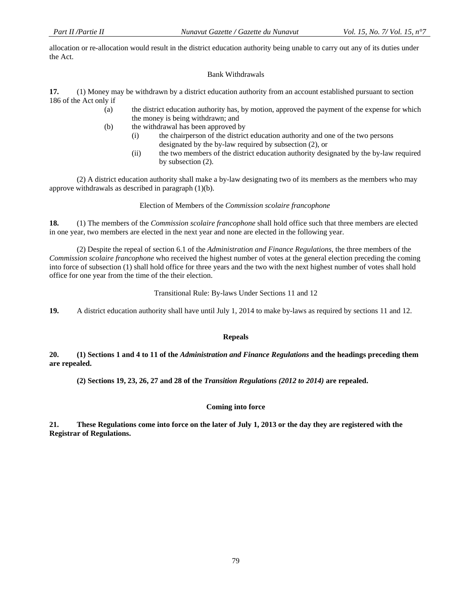allocation or re-allocation would result in the district education authority being unable to carry out any of its duties under the Act.

### Bank Withdrawals

**17.** (1) Money may be withdrawn by a district education authority from an account established pursuant to section 186 of the Act only if

- (a) the district education authority has, by motion, approved the payment of the expense for which the money is being withdrawn; and
- (b) the withdrawal has been approved by
	- (i) the chairperson of the district education authority and one of the two persons designated by the by-law required by subsection (2), or
	- (ii) the two members of the district education authority designated by the by-law required by subsection (2).

 (2) A district education authority shall make a by-law designating two of its members as the members who may approve withdrawals as described in paragraph (1)(b).

### Election of Members of the *Commission scolaire francophone*

**18.** (1) The members of the *Commission scolaire francophone* shall hold office such that three members are elected in one year, two members are elected in the next year and none are elected in the following year.

 (2) Despite the repeal of section 6.1 of the *Administration and Finance Regulations*, the three members of the *Commission scolaire francophone* who received the highest number of votes at the general election preceding the coming into force of subsection (1) shall hold office for three years and the two with the next highest number of votes shall hold office for one year from the time of the their election.

Transitional Rule: By-laws Under Sections 11 and 12

**19.** A district education authority shall have until July 1, 2014 to make by-laws as required by sections 11 and 12.

#### **Repeals**

**20. (1) Sections 1 and 4 to 11 of the** *Administration and Finance Regulations* **and the headings preceding them are repealed.** 

 **(2) Sections 19, 23, 26, 27 and 28 of the** *Transition Regulations (2012 to 2014)* **are repealed.** 

### **Coming into force**

**21. These Regulations come into force on the later of July 1, 2013 or the day they are registered with the Registrar of Regulations.**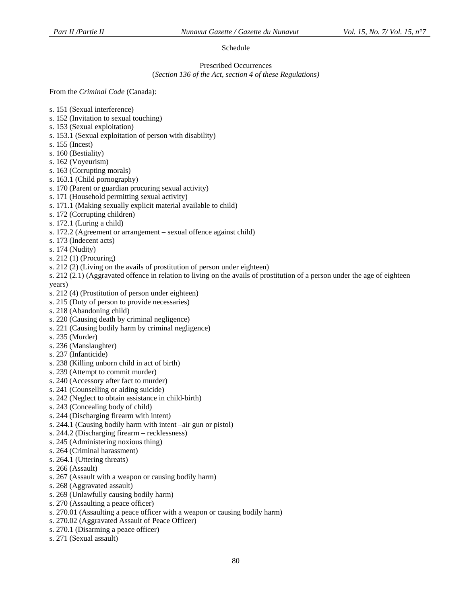# Schedule

#### Prescribed Occurrences (*Section 136 of the Act, section 4 of these Regulations)*

From the *Criminal Code* (Canada):

- s. 151 (Sexual interference)
- s. 152 (Invitation to sexual touching)
- s. 153 (Sexual exploitation)
- s. 153.1 (Sexual exploitation of person with disability)
- s. 155 (Incest)
- s. 160 (Bestiality)
- s. 162 (Voyeurism)
- s. 163 (Corrupting morals)
- s. 163.1 (Child pornography)
- s. 170 (Parent or guardian procuring sexual activity)
- s. 171 (Household permitting sexual activity)
- s. 171.1 (Making sexually explicit material available to child)
- s. 172 (Corrupting children)
- s. 172.1 (Luring a child)
- s. 172.2 (Agreement or arrangement sexual offence against child)
- s. 173 (Indecent acts)
- s. 174 (Nudity)
- s. 212 (1) (Procuring)
- s. 212 (2) (Living on the avails of prostitution of person under eighteen)
- s. 212 (2.1) (Aggravated offence in relation to living on the avails of prostitution of a person under the age of eighteen years)
- s. 212 (4) (Prostitution of person under eighteen)
- s. 215 (Duty of person to provide necessaries)
- s. 218 (Abandoning child)
- s. 220 (Causing death by criminal negligence)
- s. 221 (Causing bodily harm by criminal negligence)
- s. 235 (Murder)
- s. 236 (Manslaughter)
- s. 237 (Infanticide)
- s. 238 (Killing unborn child in act of birth)
- s. 239 (Attempt to commit murder)
- s. 240 (Accessory after fact to murder)
- s. 241 (Counselling or aiding suicide)
- s. 242 (Neglect to obtain assistance in child-birth)
- s. 243 (Concealing body of child)
- s. 244 (Discharging firearm with intent)
- s. 244.1 (Causing bodily harm with intent –air gun or pistol)
- s. 244.2 (Discharging firearm recklessness)
- s. 245 (Administering noxious thing)
- s. 264 (Criminal harassment)
- s. 264.1 (Uttering threats)
- s. 266 (Assault)
- s. 267 (Assault with a weapon or causing bodily harm)
- s. 268 (Aggravated assault)
- s. 269 (Unlawfully causing bodily harm)
- s. 270 (Assaulting a peace officer)
- s. 270.01 (Assaulting a peace officer with a weapon or causing bodily harm)
- s. 270.02 (Aggravated Assault of Peace Officer)
- s. 270.1 (Disarming a peace officer)
- s. 271 (Sexual assault)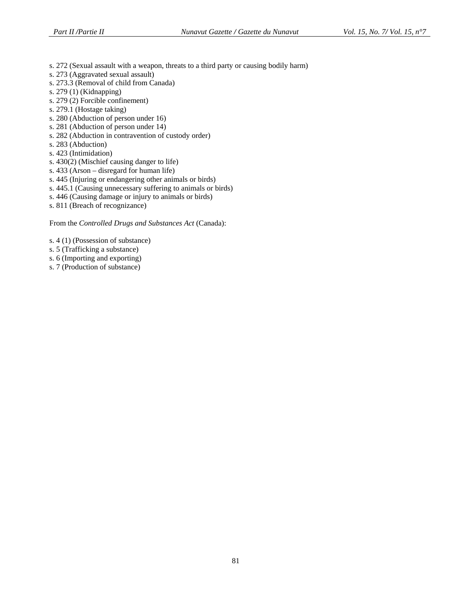- s. 272 (Sexual assault with a weapon, threats to a third party or causing bodily harm)
- s. 273 (Aggravated sexual assault)
- s. 273.3 (Removal of child from Canada)
- s. 279 (1) (Kidnapping)
- s. 279 (2) Forcible confinement)
- s. 279.1 (Hostage taking)
- s. 280 (Abduction of person under 16)
- s. 281 (Abduction of person under 14)
- s. 282 (Abduction in contravention of custody order)
- s. 283 (Abduction)
- s. 423 (Intimidation)
- s. 430(2) (Mischief causing danger to life)
- s. 433 (Arson disregard for human life)
- s. 445 (Injuring or endangering other animals or birds)
- s. 445.1 (Causing unnecessary suffering to animals or birds)
- s. 446 (Causing damage or injury to animals or birds)
- s. 811 (Breach of recognizance)

From the *Controlled Drugs and Substances Act* (Canada):

s. 4 (1) (Possession of substance)

- s. 5 (Trafficking a substance)
- s. 6 (Importing and exporting)
- s. 7 (Production of substance)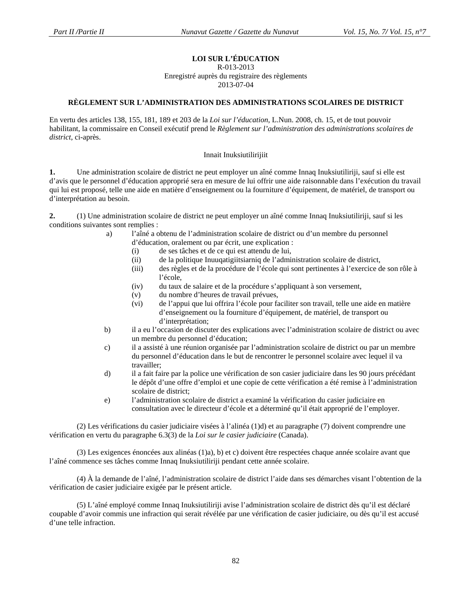# **LOI SUR L'ÉDUCATION**

### R-013-2013

Enregistré auprès du registraire des règlements

2013-07-04

### **RÈGLEMENT SUR L'ADMINISTRATION DES ADMINISTRATIONS SCOLAIRES DE DISTRICT**

En vertu des articles 138, 155, 181, 189 et 203 de la *Loi sur l'éducation*, L.Nun. 2008, ch. 15, et de tout pouvoir habilitant, la commissaire en Conseil exécutif prend le *Règlement sur l'administration des administrations scolaires de district*, ci-après.

### Innait Inuksiutilirijiit

**1.** Une administration scolaire de district ne peut employer un aîné comme Innaq Inuksiutiliriji, sauf si elle est d'avis que le personnel d'éducation approprié sera en mesure de lui offrir une aide raisonnable dans l'exécution du travail qui lui est proposé, telle une aide en matière d'enseignement ou la fourniture d'équipement, de matériel, de transport ou d'interprétation au besoin.

**2.** (1) Une administration scolaire de district ne peut employer un aîné comme Innaq Inuksiutiliriji, sauf si les conditions suivantes sont remplies :

- a) l'aîné a obtenu de l'administration scolaire de district ou d'un membre du personnel d'éducation, oralement ou par écrit, une explication :
	- (i) de ses tâches et de ce qui est attendu de lui,
	- (ii) de la politique Inuuqatigiitsiarniq de l'administration scolaire de district,
	- (iii) des règles et de la procédure de l'école qui sont pertinentes à l'exercice de son rôle à l'école,
	- (iv) du taux de salaire et de la procédure s'appliquant à son versement,
	- (v) du nombre d'heures de travail prévues,
	- (vi) de l'appui que lui offrira l'école pour faciliter son travail, telle une aide en matière d'enseignement ou la fourniture d'équipement, de matériel, de transport ou d'interprétation;
- b) il a eu l'occasion de discuter des explications avec l'administration scolaire de district ou avec un membre du personnel d'éducation;
- c) il a assisté à une réunion organisée par l'administration scolaire de district ou par un membre du personnel d'éducation dans le but de rencontrer le personnel scolaire avec lequel il va travailler;
- d) il a fait faire par la police une vérification de son casier judiciaire dans les 90 jours précédant le dépôt d'une offre d'emploi et une copie de cette vérification a été remise à l'administration scolaire de district;
- e) l'administration scolaire de district a examiné la vérification du casier judiciaire en consultation avec le directeur d'école et a déterminé qu'il était approprié de l'employer.

 (2) Les vérifications du casier judiciaire visées à l'alinéa (1)d) et au paragraphe (7) doivent comprendre une vérification en vertu du paragraphe 6.3(3) de la *Loi sur le casier judiciaire* (Canada).

 (3) Les exigences énoncées aux alinéas (1)a), b) et c) doivent être respectées chaque année scolaire avant que l'aîné commence ses tâches comme Innaq Inuksiutiliriji pendant cette année scolaire.

 (4) À la demande de l'aîné, l'administration scolaire de district l'aide dans ses démarches visant l'obtention de la vérification de casier judiciaire exigée par le présent article.

 (5) L'aîné employé comme Innaq Inuksiutiliriji avise l'administration scolaire de district dès qu'il est déclaré coupable d'avoir commis une infraction qui serait révélée par une vérification de casier judiciaire, ou dès qu'il est accusé d'une telle infraction.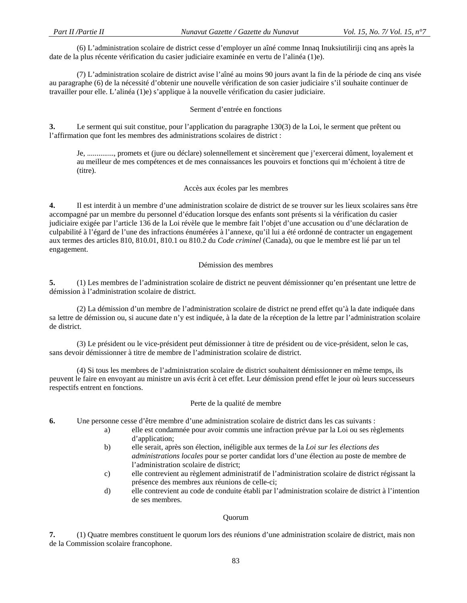(6) L'administration scolaire de district cesse d'employer un aîné comme Innaq Inuksiutiliriji cinq ans après la date de la plus récente vérification du casier judiciaire examinée en vertu de l'alinéa (1)e).

 (7) L'administration scolaire de district avise l'aîné au moins 90 jours avant la fin de la période de cinq ans visée au paragraphe (6) de la nécessité d'obtenir une nouvelle vérification de son casier judiciaire s'il souhaite continuer de travailler pour elle. L'alinéa (1)e) s'applique à la nouvelle vérification du casier judiciaire.

### Serment d'entrée en fonctions

**3.** Le serment qui suit constitue, pour l'application du paragraphe 130(3) de la Loi, le serment que prêtent ou l'affirmation que font les membres des administrations scolaires de district :

Je, .............., promets et (jure ou déclare) solennellement et sincèrement que j'exercerai dûment, loyalement et au meilleur de mes compétences et de mes connaissances les pouvoirs et fonctions qui m'échoient à titre de (titre).

### Accès aux écoles par les membres

**4.** Il est interdit à un membre d'une administration scolaire de district de se trouver sur les lieux scolaires sans être accompagné par un membre du personnel d'éducation lorsque des enfants sont présents si la vérification du casier judiciaire exigée par l'article 136 de la Loi révèle que le membre fait l'objet d'une accusation ou d'une déclaration de culpabilité à l'égard de l'une des infractions énumérées à l'annexe, qu'il lui a été ordonné de contracter un engagement aux termes des articles 810, 810.01, 810.1 ou 810.2 du *Code criminel* (Canada), ou que le membre est lié par un tel engagement.

#### Démission des membres

**5.** (1) Les membres de l'administration scolaire de district ne peuvent démissionner qu'en présentant une lettre de démission à l'administration scolaire de district.

 (2) La démission d'un membre de l'administration scolaire de district ne prend effet qu'à la date indiquée dans sa lettre de démission ou, si aucune date n'y est indiquée, à la date de la réception de la lettre par l'administration scolaire de district.

 (3) Le président ou le vice-président peut démissionner à titre de président ou de vice-président, selon le cas, sans devoir démissionner à titre de membre de l'administration scolaire de district.

 (4) Si tous les membres de l'administration scolaire de district souhaitent démissionner en même temps, ils peuvent le faire en envoyant au ministre un avis écrit à cet effet. Leur démission prend effet le jour où leurs successeurs respectifs entrent en fonctions.

#### Perte de la qualité de membre

**6.** Une personne cesse d'être membre d'une administration scolaire de district dans les cas suivants :

- a) elle est condamnée pour avoir commis une infraction prévue par la Loi ou ses règlements d'application;
- b) elle serait, après son élection, inéligible aux termes de la *Loi sur les élections des administrations locales* pour se porter candidat lors d'une élection au poste de membre de l'administration scolaire de district;
- c) elle contrevient au règlement administratif de l'administration scolaire de district régissant la présence des membres aux réunions de celle-ci;
- d) elle contrevient au code de conduite établi par l'administration scolaire de district à l'intention de ses membres.

### Quorum

**7.** (1) Quatre membres constituent le quorum lors des réunions d'une administration scolaire de district, mais non de la Commission scolaire francophone.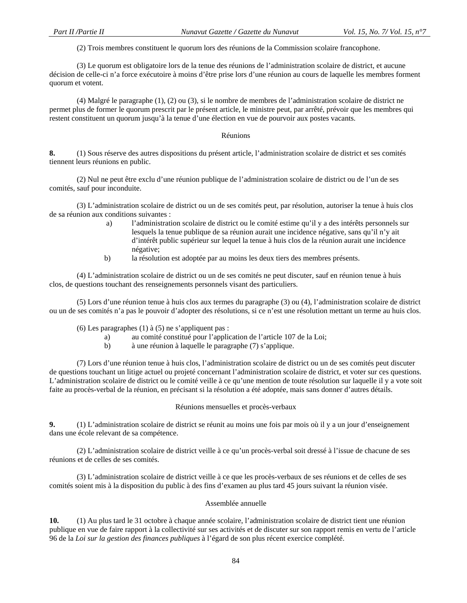(2) Trois membres constituent le quorum lors des réunions de la Commission scolaire francophone.

 (3) Le quorum est obligatoire lors de la tenue des réunions de l'administration scolaire de district, et aucune décision de celle-ci n'a force exécutoire à moins d'être prise lors d'une réunion au cours de laquelle les membres forment quorum et votent.

 (4) Malgré le paragraphe (1), (2) ou (3), si le nombre de membres de l'administration scolaire de district ne permet plus de former le quorum prescrit par le présent article, le ministre peut, par arrêté, prévoir que les membres qui restent constituent un quorum jusqu'à la tenue d'une élection en vue de pourvoir aux postes vacants.

#### Réunions

**8.** (1) Sous réserve des autres dispositions du présent article, l'administration scolaire de district et ses comités tiennent leurs réunions en public.

 (2) Nul ne peut être exclu d'une réunion publique de l'administration scolaire de district ou de l'un de ses comités, sauf pour inconduite.

 (3) L'administration scolaire de district ou un de ses comités peut, par résolution, autoriser la tenue à huis clos de sa réunion aux conditions suivantes :

- a) l'administration scolaire de district ou le comité estime qu'il y a des intérêts personnels sur lesquels la tenue publique de sa réunion aurait une incidence négative, sans qu'il n'y ait d'intérêt public supérieur sur lequel la tenue à huis clos de la réunion aurait une incidence négative;
- b) la résolution est adoptée par au moins les deux tiers des membres présents.

 (4) L'administration scolaire de district ou un de ses comités ne peut discuter, sauf en réunion tenue à huis clos, de questions touchant des renseignements personnels visant des particuliers.

 (5) Lors d'une réunion tenue à huis clos aux termes du paragraphe (3) ou (4), l'administration scolaire de district ou un de ses comités n'a pas le pouvoir d'adopter des résolutions, si ce n'est une résolution mettant un terme au huis clos.

(6) Les paragraphes (1) à (5) ne s'appliquent pas :

- a) au comité constitué pour l'application de l'article 107 de la Loi;
- b) à une réunion à laquelle le paragraphe (7) s'applique.

 (7) Lors d'une réunion tenue à huis clos, l'administration scolaire de district ou un de ses comités peut discuter de questions touchant un litige actuel ou projeté concernant l'administration scolaire de district, et voter sur ces questions. L'administration scolaire de district ou le comité veille à ce qu'une mention de toute résolution sur laquelle il y a vote soit faite au procès-verbal de la réunion, en précisant si la résolution a été adoptée, mais sans donner d'autres détails.

### Réunions mensuelles et procès-verbaux

**9.** (1) L'administration scolaire de district se réunit au moins une fois par mois où il y a un jour d'enseignement dans une école relevant de sa compétence.

 (2) L'administration scolaire de district veille à ce qu'un procès-verbal soit dressé à l'issue de chacune de ses réunions et de celles de ses comités.

 (3) L'administration scolaire de district veille à ce que les procès-verbaux de ses réunions et de celles de ses comités soient mis à la disposition du public à des fins d'examen au plus tard 45 jours suivant la réunion visée.

### Assemblée annuelle

**10.** (1) Au plus tard le 31 octobre à chaque année scolaire, l'administration scolaire de district tient une réunion publique en vue de faire rapport à la collectivité sur ses activités et de discuter sur son rapport remis en vertu de l'article 96 de la *Loi sur la gestion des finances publiques* à l'égard de son plus récent exercice complété.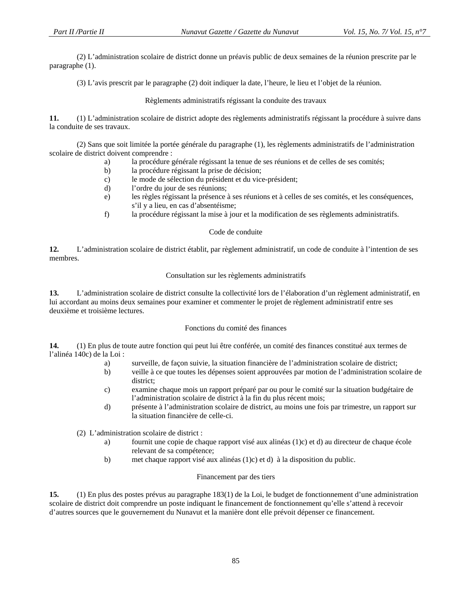(2) L'administration scolaire de district donne un préavis public de deux semaines de la réunion prescrite par le paragraphe (1).

(3) L'avis prescrit par le paragraphe (2) doit indiquer la date, l'heure, le lieu et l'objet de la réunion.

Règlements administratifs régissant la conduite des travaux

**11.** (1) L'administration scolaire de district adopte des règlements administratifs régissant la procédure à suivre dans la conduite de ses travaux.

 (2) Sans que soit limitée la portée générale du paragraphe (1), les règlements administratifs de l'administration scolaire de district doivent comprendre :

- a) la procédure générale régissant la tenue de ses réunions et de celles de ses comités;
- b) la procédure régissant la prise de décision;
- c) le mode de sélection du président et du vice-président;
- d) l'ordre du jour de ses réunions;
- e) les règles régissant la présence à ses réunions et à celles de ses comités, et les conséquences, s'il y a lieu, en cas d'absentéisme;
- f) la procédure régissant la mise à jour et la modification de ses règlements administratifs.

### Code de conduite

**12.** L'administration scolaire de district établit, par règlement administratif, un code de conduite à l'intention de ses membres.

### Consultation sur les règlements administratifs

**13.** L'administration scolaire de district consulte la collectivité lors de l'élaboration d'un règlement administratif, en lui accordant au moins deux semaines pour examiner et commenter le projet de règlement administratif entre ses deuxième et troisième lectures.

### Fonctions du comité des finances

**14.** (1) En plus de toute autre fonction qui peut lui être conférée, un comité des finances constitué aux termes de l'alinéa 140c) de la Loi :

- a) surveille, de façon suivie, la situation financière de l'administration scolaire de district;
- b) veille à ce que toutes les dépenses soient approuvées par motion de l'administration scolaire de district;
- c) examine chaque mois un rapport préparé par ou pour le comité sur la situation budgétaire de l'administration scolaire de district à la fin du plus récent mois;
- d) présente à l'administration scolaire de district, au moins une fois par trimestre, un rapport sur la situation financière de celle-ci.

(2) L'administration scolaire de district :

- a) fournit une copie de chaque rapport visé aux alinéas (1)c) et d) au directeur de chaque école relevant de sa compétence;
- b) met chaque rapport visé aux alinéas (1)c) et d) à la disposition du public.

# Financement par des tiers

**15.** (1) En plus des postes prévus au paragraphe 183(1) de la Loi, le budget de fonctionnement d'une administration scolaire de district doit comprendre un poste indiquant le financement de fonctionnement qu'elle s'attend à recevoir d'autres sources que le gouvernement du Nunavut et la manière dont elle prévoit dépenser ce financement.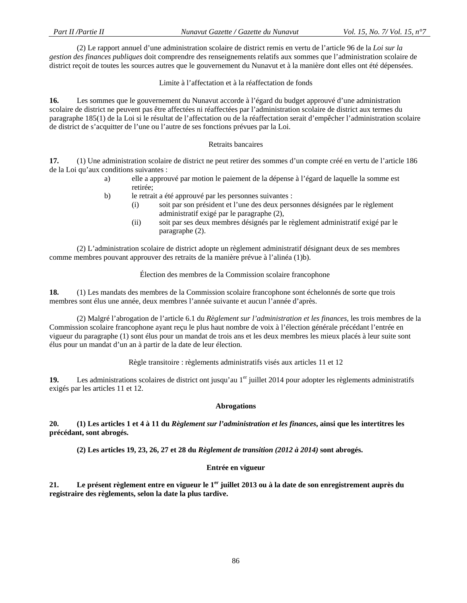(2) Le rapport annuel d'une administration scolaire de district remis en vertu de l'article 96 de la *Loi sur la gestion des finances publiques* doit comprendre des renseignements relatifs aux sommes que l'administration scolaire de district reçoit de toutes les sources autres que le gouvernement du Nunavut et à la manière dont elles ont été dépensées.

Limite à l'affectation et à la réaffectation de fonds

**16.** Les sommes que le gouvernement du Nunavut accorde à l'égard du budget approuvé d'une administration scolaire de district ne peuvent pas être affectées ni réaffectées par l'administration scolaire de district aux termes du paragraphe 185(1) de la Loi si le résultat de l'affectation ou de la réaffectation serait d'empêcher l'administration scolaire de district de s'acquitter de l'une ou l'autre de ses fonctions prévues par la Loi.

### Retraits bancaires

**17.** (1) Une administration scolaire de district ne peut retirer des sommes d'un compte créé en vertu de l'article 186 de la Loi qu'aux conditions suivantes :

- a) elle a approuvé par motion le paiement de la dépense à l'égard de laquelle la somme est retirée;
- b) le retrait a été approuvé par les personnes suivantes :
	- (i) soit par son président et l'une des deux personnes désignées par le règlement administratif exigé par le paragraphe (2),
	- (ii) soit par ses deux membres désignés par le règlement administratif exigé par le paragraphe (2).

 (2) L'administration scolaire de district adopte un règlement administratif désignant deux de ses membres comme membres pouvant approuver des retraits de la manière prévue à l'alinéa (1)b).

### Élection des membres de la Commission scolaire francophone

**18.** (1) Les mandats des membres de la Commission scolaire francophone sont échelonnés de sorte que trois membres sont élus une année, deux membres l'année suivante et aucun l'année d'après.

 (2) Malgré l'abrogation de l'article 6.1 du *Règlement sur l'administration et les finances*, les trois membres de la Commission scolaire francophone ayant reçu le plus haut nombre de voix à l'élection générale précédant l'entrée en vigueur du paragraphe (1) sont élus pour un mandat de trois ans et les deux membres les mieux placés à leur suite sont élus pour un mandat d'un an à partir de la date de leur élection.

Règle transitoire : règlements administratifs visés aux articles 11 et 12

**19.** Les administrations scolaires de district ont jusqu'au 1<sup>er</sup> juillet 2014 pour adopter les règlements administratifs exigés par les articles 11 et 12.

### **Abrogations**

**20. (1) Les articles 1 et 4 à 11 du** *Règlement sur l'administration et les finances***, ainsi que les intertitres les précédant, sont abrogés.** 

 **(2) Les articles 19, 23, 26, 27 et 28 du** *Règlement de transition (2012 à 2014)* **sont abrogés.** 

### **Entrée en vigueur**

**21. Le présent règlement entre en vigueur le 1er juillet 2013 ou à la date de son enregistrement auprès du registraire des règlements, selon la date la plus tardive.**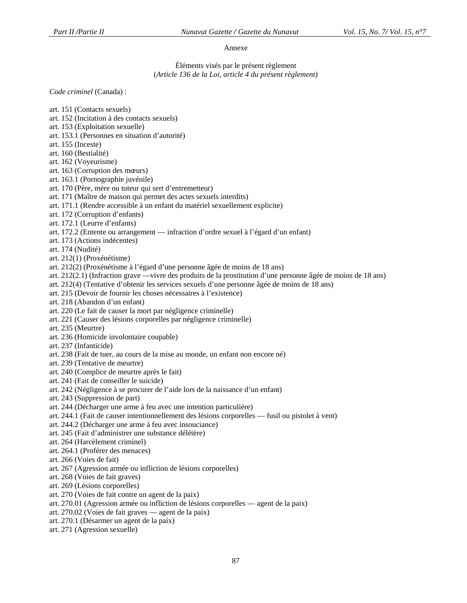### Annexe

Éléments visés par le présent règlement (*Article 136 de la Loi, article 4 du présent règlement)* 

*Code criminel* (Canada) :

art. 151 (Contacts sexuels) art. 152 (Incitation à des contacts sexuels) art. 153 (Exploitation sexuelle) art. 153.1 (Personnes en situation d'autorité) art. 155 (Inceste) art. 160 (Bestialité) art. 162 (Voyeurisme) art. 163 (Corruption des mœurs) art. 163.1 (Pornographie juvénile) art. 170 (Père, mère ou tuteur qui sert d'entremetteur) art. 171 (Maître de maison qui permet des actes sexuels interdits) art. 171.1 (Rendre accessible à un enfant du matériel sexuellement explicite) art. 172 (Corruption d'enfants) art. 172.1 (Leurre d'enfants) art. 172.2 (Entente ou arrangement — infraction d'ordre sexuel à l'égard d'un enfant) art. 173 (Actions indécentes) art. 174 (Nudité) art. 212(1) (Proxénétisme) art. 212(2) (Proxénétisme à l'égard d'une personne âgée de moins de 18 ans) art. 212(2.1) (Infraction grave —vivre des produits de la prostitution d'une personne âgée de moins de 18 ans) art. 212(4) (Tentative d'obtenir les services sexuels d'une personne âgée de moins de 18 ans) art. 215 (Devoir de fournir les choses nécessaires à l'existence) art. 218 (Abandon d'un enfant) art. 220 (Le fait de causer la mort par négligence criminelle) art. 221 (Causer des lésions corporelles par négligence criminelle) art. 235 (Meurtre) art. 236 (Homicide involontaire coupable) art. 237 (Infanticide) art. 238 (Fait de tuer, au cours de la mise au monde, un enfant non encore né) art. 239 (Tentative de meurtre) art. 240 (Complice de meurtre après le fait) art. 241 (Fait de conseiller le suicide) art. 242 (Négligence à se procurer de l'aide lors de la naissance d'un enfant) art. 243 (Suppression de part) art. 244 (Décharger une arme à feu avec une intention particulière) art. 244.1 (Fait de causer intentionnellement des lésions corporelles — fusil ou pistolet à vent) art. 244.2 (Décharger une arme à feu avec insouciance) art. 245 (Fait d'administrer une substance délétère) art. 264 (Harcèlement criminel) art. 264.1 (Proférer des menaces) art. 266 (Voies de fait) art. 267 (Agression armée ou infliction de lésions corporelles) art. 268 (Voies de fait graves) art. 269 (Lésions corporelles) art. 270 (Voies de fait contre un agent de la paix) art. 270.01 (Agression armée ou infliction de lésions corporelles — agent de la paix) art. 270.02 (Voies de fait graves — agent de la paix) art. 270.1 (Désarmer un agent de la paix)

art. 271 (Agression sexuelle)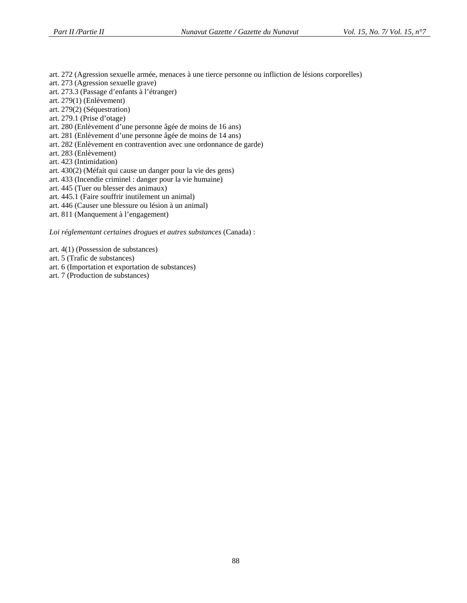art. 272 (Agression sexuelle armée, menaces à une tierce personne ou infliction de lésions corporelles)

- art. 273 (Agression sexuelle grave)
- art. 273.3 (Passage d'enfants à l'étranger)
- art. 279(1) (Enlèvement)
- art. 279(2) (Séquestration)
- art. 279.1 (Prise d'otage)
- art. 280 (Enlèvement d'une personne âgée de moins de 16 ans)
- art. 281 (Enlèvement d'une personne âgée de moins de 14 ans)
- art. 282 (Enlèvement en contravention avec une ordonnance de garde)
- art. 283 (Enlèvement)
- art. 423 (Intimidation)
- art. 430(2) (Méfait qui cause un danger pour la vie des gens)
- art. 433 (Incendie criminel : danger pour la vie humaine)
- art. 445 (Tuer ou blesser des animaux)
- art. 445.1 (Faire souffrir inutilement un animal)
- art. 446 (Causer une blessure ou lésion à un animal)
- art. 811 (Manquement à l'engagement)

*Loi réglementant certaines drogues et autres substances* (Canada) :

- art. 4(1) (Possession de substances)
- art. 5 (Trafic de substances)
- art. 6 (Importation et exportation de substances)
- art. 7 (Production de substances)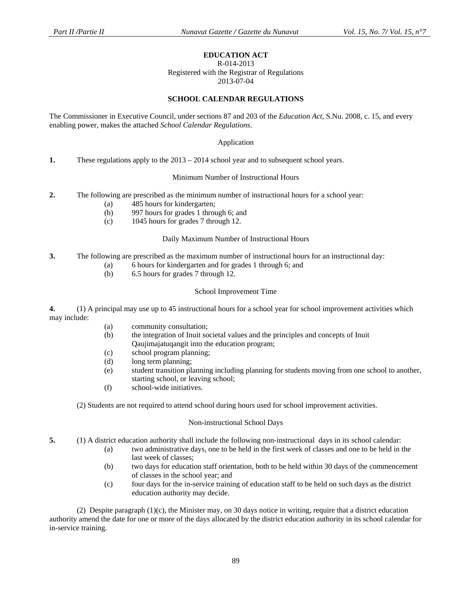### **EDUCATION ACT**

#### R-014-2013

Registered with the Registrar of Regulations 2013-07-04

### **SCHOOL CALENDAR REGULATIONS**

The Commissioner in Executive Council, under sections 87 and 203 of the *Education Act,* S.Nu. 2008, c. 15, and every enabling power, makes the attached *School Calendar Regulations*.

#### Application

**1.** These regulations apply to the 2013 – 2014 school year and to subsequent school years.

#### Minimum Number of Instructional Hours

- **2.** The following are prescribed as the minimum number of instructional hours for a school year:
	- (a) 485 hours for kindergarten;
	- (b) 997 hours for grades 1 through 6; and
	- (c) 1045 hours for grades 7 through 12.

#### Daily Maximum Number of Instructional Hours

- **3.** The following are prescribed as the maximum number of instructional hours for an instructional day:
	- (a) 6 hours for kindergarten and for grades 1 through 6; and
	- (b) 6.5 hours for grades 7 through 12.

#### School Improvement Time

**4.** (1) A principal may use up to 45 instructional hours for a school year for school improvement activities which may include:

- (a) community consultation;
- (b) the integration of Inuit societal values and the principles and concepts of Inuit Qaujimajatuqangit into the education program;
- (c) school program planning;
- (d) long term planning;
- (e) student transition planning including planning for students moving from one school to another, starting school, or leaving school;
- (f) school-wide initiatives.

(2) Students are not required to attend school during hours used for school improvement activities.

#### Non-instructional School Days

**5.** (1) A district education authority shall include the following non-instructional days in its school calendar:

- (a) two administrative days, one to be held in the first week of classes and one to be held in the last week of classes;
- (b) two days for education staff orientation, both to be held within 30 days of the commencement of classes in the school year; and
- (c) four days for the in-service training of education staff to be held on such days as the district education authority may decide.

(2) Despite paragraph  $(1)(c)$ , the Minister may, on 30 days notice in writing, require that a district education authority amend the date for one or more of the days allocated by the district education authority in its school calendar for in-service training.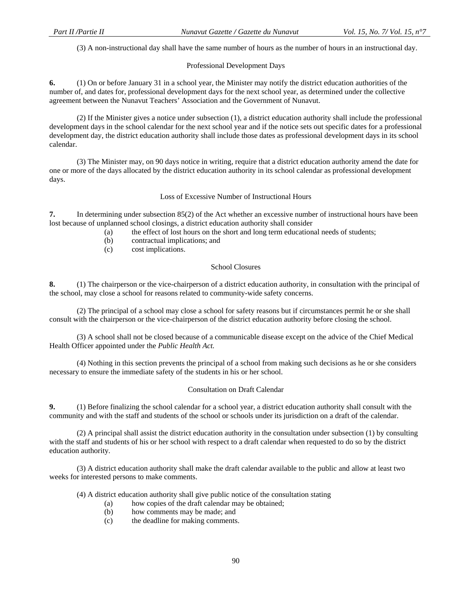(3) A non-instructional day shall have the same number of hours as the number of hours in an instructional day.

### Professional Development Days

**6.** (1) On or before January 31 in a school year, the Minister may notify the district education authorities of the number of, and dates for, professional development days for the next school year, as determined under the collective agreement between the Nunavut Teachers' Association and the Government of Nunavut.

 (2) If the Minister gives a notice under subsection (1), a district education authority shall include the professional development days in the school calendar for the next school year and if the notice sets out specific dates for a professional development day, the district education authority shall include those dates as professional development days in its school calendar.

 (3) The Minister may, on 90 days notice in writing, require that a district education authority amend the date for one or more of the days allocated by the district education authority in its school calendar as professional development days.

### Loss of Excessive Number of Instructional Hours

**7.** In determining under subsection 85(2) of the Act whether an excessive number of instructional hours have been lost because of unplanned school closings, a district education authority shall consider

- (a) the effect of lost hours on the short and long term educational needs of students;
- (b) contractual implications; and
- (c) cost implications.

#### School Closures

**8.** (1) The chairperson or the vice-chairperson of a district education authority, in consultation with the principal of the school, may close a school for reasons related to community-wide safety concerns.

 (2) The principal of a school may close a school for safety reasons but if circumstances permit he or she shall consult with the chairperson or the vice-chairperson of the district education authority before closing the school.

 (3) A school shall not be closed because of a communicable disease except on the advice of the Chief Medical Health Officer appointed under the *Public Health Act.*

 (4) Nothing in this section prevents the principal of a school from making such decisions as he or she considers necessary to ensure the immediate safety of the students in his or her school.

#### Consultation on Draft Calendar

**9.** (1) Before finalizing the school calendar for a school year, a district education authority shall consult with the community and with the staff and students of the school or schools under its jurisdiction on a draft of the calendar.

 (2) A principal shall assist the district education authority in the consultation under subsection (1) by consulting with the staff and students of his or her school with respect to a draft calendar when requested to do so by the district education authority.

 (3) A district education authority shall make the draft calendar available to the public and allow at least two weeks for interested persons to make comments.

(4) A district education authority shall give public notice of the consultation stating

- (a) how copies of the draft calendar may be obtained;
- (b) how comments may be made; and
- (c) the deadline for making comments.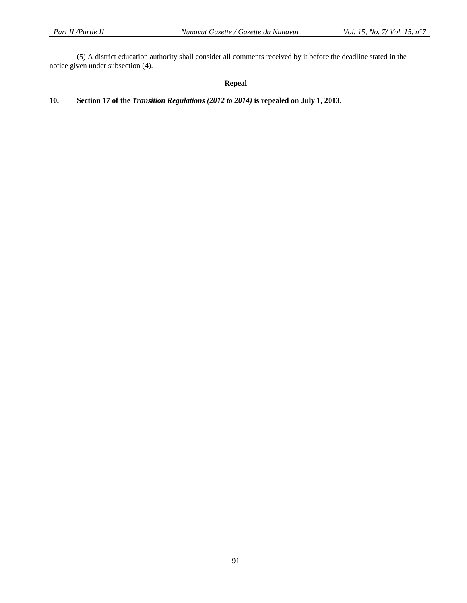(5) A district education authority shall consider all comments received by it before the deadline stated in the notice given under subsection (4).

# **Repeal**

# **10. Section 17 of the** *Transition Regulations (2012 to 2014)* **is repealed on July 1, 2013.**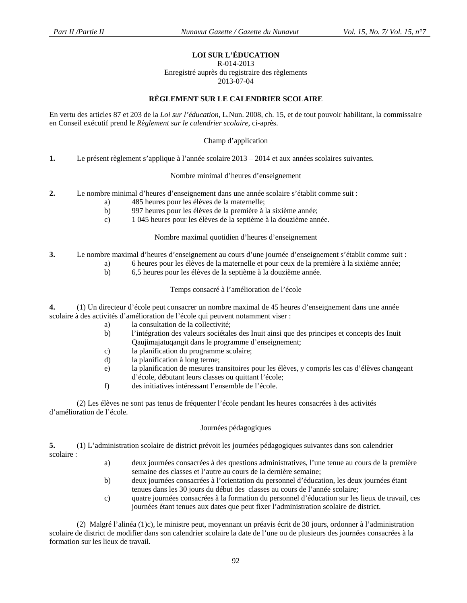# **LOI SUR L'ÉDUCATION**

#### R-014-2013

Enregistré auprès du registraire des règlements 2013-07-04

### **RÈGLEMENT SUR LE CALENDRIER SCOLAIRE**

En vertu des articles 87 et 203 de la *Loi sur l'éducation*, L.Nun. 2008, ch. 15, et de tout pouvoir habilitant, la commissaire en Conseil exécutif prend le *Règlement sur le calendrier scolaire*, ci-après.

Champ d'application

**1.** Le présent règlement s'applique à l'année scolaire 2013 – 2014 et aux années scolaires suivantes.

Nombre minimal d'heures d'enseignement

- **2.** Le nombre minimal d'heures d'enseignement dans une année scolaire s'établit comme suit :
	- a) 485 heures pour les élèves de la maternelle;
	- b) 997 heures pour les élèves de la première à la sixième année;
	- c) 1 045 heures pour les élèves de la septième à la douzième année.

Nombre maximal quotidien d'heures d'enseignement

- **3.** Le nombre maximal d'heures d'enseignement au cours d'une journée d'enseignement s'établit comme suit :
	- a) 6 heures pour les élèves de la maternelle et pour ceux de la première à la sixième année;
	- b) 6,5 heures pour les élèves de la septième à la douzième année.

Temps consacré à l'amélioration de l'école

**4.** (1) Un directeur d'école peut consacrer un nombre maximal de 45 heures d'enseignement dans une année scolaire à des activités d'amélioration de l'école qui peuvent notamment viser :

- a) la consultation de la collectivité;
- b) l'intégration des valeurs sociétales des Inuit ainsi que des principes et concepts des Inuit Qaujimajatuqangit dans le programme d'enseignement;
- c) la planification du programme scolaire;
- d) la planification à long terme;
- e) la planification de mesures transitoires pour les élèves, y compris les cas d'élèves changeant d'école, débutant leurs classes ou quittant l'école;
- f) des initiatives intéressant l'ensemble de l'école.

(2) Les élèves ne sont pas tenus de fréquenter l'école pendant les heures consacrées à des activités d'amélioration de l'école.

#### Journées pédagogiques

**5.** (1) L'administration scolaire de district prévoit les journées pédagogiques suivantes dans son calendrier scolaire :

- a) deux journées consacrées à des questions administratives, l'une tenue au cours de la première semaine des classes et l'autre au cours de la dernière semaine;
- b) deux journées consacrées à l'orientation du personnel d'éducation, les deux journées étant tenues dans les 30 jours du début des classes au cours de l'année scolaire;
- c) quatre journées consacrées à la formation du personnel d'éducation sur les lieux de travail, ces journées étant tenues aux dates que peut fixer l'administration scolaire de district.

 (2) Malgré l'alinéa (1)c), le ministre peut, moyennant un préavis écrit de 30 jours, ordonner à l'administration scolaire de district de modifier dans son calendrier scolaire la date de l'une ou de plusieurs des journées consacrées à la formation sur les lieux de travail.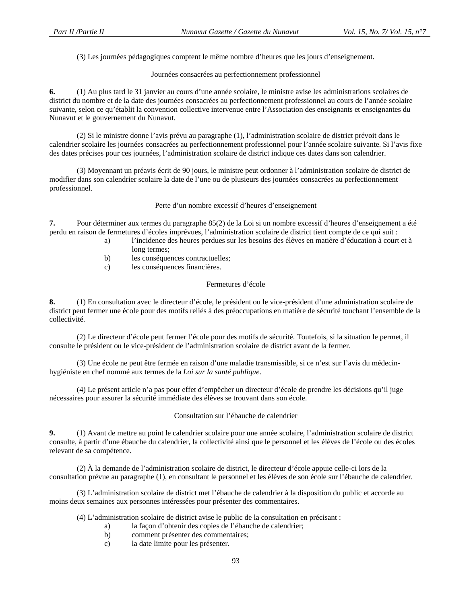(3) Les journées pédagogiques comptent le même nombre d'heures que les jours d'enseignement.

Journées consacrées au perfectionnement professionnel

**6.** (1) Au plus tard le 31 janvier au cours d'une année scolaire, le ministre avise les administrations scolaires de district du nombre et de la date des journées consacrées au perfectionnement professionnel au cours de l'année scolaire suivante, selon ce qu'établit la convention collective intervenue entre l'Association des enseignants et enseignantes du Nunavut et le gouvernement du Nunavut.

 (2) Si le ministre donne l'avis prévu au paragraphe (1), l'administration scolaire de district prévoit dans le calendrier scolaire les journées consacrées au perfectionnement professionnel pour l'année scolaire suivante. Si l'avis fixe des dates précises pour ces journées, l'administration scolaire de district indique ces dates dans son calendrier.

 (3) Moyennant un préavis écrit de 90 jours, le ministre peut ordonner à l'administration scolaire de district de modifier dans son calendrier scolaire la date de l'une ou de plusieurs des journées consacrées au perfectionnement professionnel.

Perte d'un nombre excessif d'heures d'enseignement

**7.** Pour déterminer aux termes du paragraphe 85(2) de la Loi si un nombre excessif d'heures d'enseignement a été perdu en raison de fermetures d'écoles imprévues, l'administration scolaire de district tient compte de ce qui suit :

- a) l'incidence des heures perdues sur les besoins des élèves en matière d'éducation à court et à long termes;
- b) les conséquences contractuelles;
- c) les conséquences financières.

### Fermetures d'école

**8.** (1) En consultation avec le directeur d'école, le président ou le vice-président d'une administration scolaire de district peut fermer une école pour des motifs reliés à des préoccupations en matière de sécurité touchant l'ensemble de la collectivité.

 (2) Le directeur d'école peut fermer l'école pour des motifs de sécurité. Toutefois, si la situation le permet, il consulte le président ou le vice-président de l'administration scolaire de district avant de la fermer.

 (3) Une école ne peut être fermée en raison d'une maladie transmissible, si ce n'est sur l'avis du médecinhygiéniste en chef nommé aux termes de la *Loi sur la santé publique*.

 (4) Le présent article n'a pas pour effet d'empêcher un directeur d'école de prendre les décisions qu'il juge nécessaires pour assurer la sécurité immédiate des élèves se trouvant dans son école.

Consultation sur l'ébauche de calendrier

**9.** (1) Avant de mettre au point le calendrier scolaire pour une année scolaire, l'administration scolaire de district consulte, à partir d'une ébauche du calendrier, la collectivité ainsi que le personnel et les élèves de l'école ou des écoles relevant de sa compétence.

 (2) À la demande de l'administration scolaire de district, le directeur d'école appuie celle-ci lors de la consultation prévue au paragraphe (1), en consultant le personnel et les élèves de son école sur l'ébauche de calendrier.

 (3) L'administration scolaire de district met l'ébauche de calendrier à la disposition du public et accorde au moins deux semaines aux personnes intéressées pour présenter des commentaires.

(4) L'administration scolaire de district avise le public de la consultation en précisant :

- a) la façon d'obtenir des copies de l'ébauche de calendrier;
- b) comment présenter des commentaires;
- c) la date limite pour les présenter.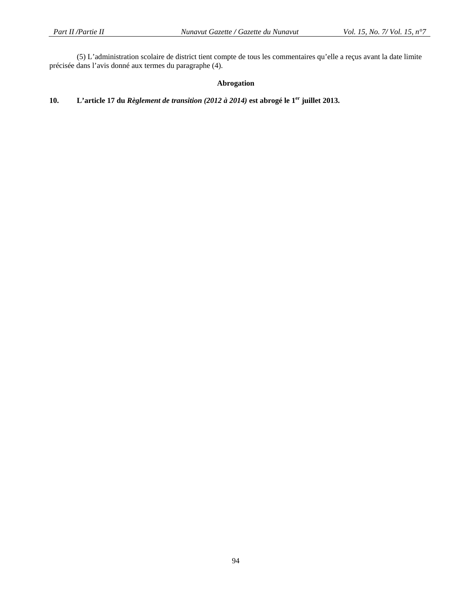(5) L'administration scolaire de district tient compte de tous les commentaires qu'elle a reçus avant la date limite précisée dans l'avis donné aux termes du paragraphe (4).

### **Abrogation**

# **10. L'article 17 du** *Règlement de transition (2012 à 2014)* **est abrogé le 1er juillet 2013.**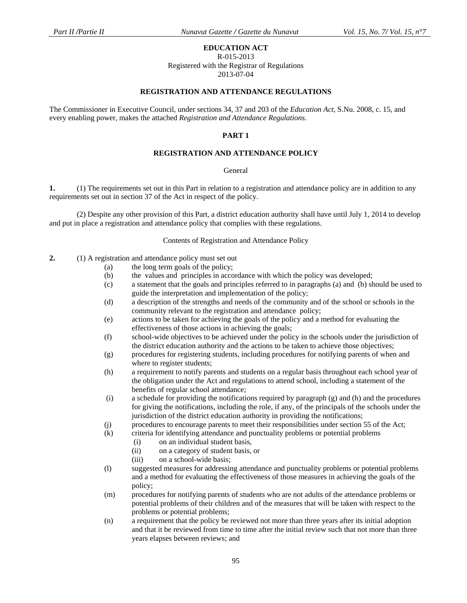### **EDUCATION ACT**

#### R-015-2013

Registered with the Registrar of Regulations

2013-07-04

#### **REGISTRATION AND ATTENDANCE REGULATIONS**

The Commissioner in Executive Council, under sections 34, 37 and 203 of the *Education Act,* S.Nu. 2008, c. 15, and every enabling power, makes the attached *Registration and Attendance Regulations.*

#### **PART 1**

### **REGISTRATION AND ATTENDANCE POLICY**

#### General

**1.** (1) The requirements set out in this Part in relation to a registration and attendance policy are in addition to any requirements set out in section 37 of the Act in respect of the policy.

 (2) Despite any other provision of this Part, a district education authority shall have until July 1, 2014 to develop and put in place a registration and attendance policy that complies with these regulations.

#### Contents of Registration and Attendance Policy

**2.** (1) A registration and attendance policy must set out

- (a) the long term goals of the policy;
- (b) the values and principles in accordance with which the policy was developed;
- (c) a statement that the goals and principles referred to in paragraphs (a) and (b) should be used to guide the interpretation and implementation of the policy;
- (d) a description of the strengths and needs of the community and of the school or schools in the community relevant to the registration and attendance policy;
- (e) actions to be taken for achieving the goals of the policy and a method for evaluating the effectiveness of those actions in achieving the goals;
- (f) school-wide objectives to be achieved under the policy in the schools under the jurisdiction of the district education authority and the actions to be taken to achieve those objectives;
- (g) procedures for registering students, including procedures for notifying parents of when and where to register students;
- (h) a requirement to notify parents and students on a regular basis throughout each school year of the obligation under the Act and regulations to attend school, including a statement of the benefits of regular school attendance;
- (i) a schedule for providing the notifications required by paragraph (g) and (h) and the procedures for giving the notifications, including the role, if any, of the principals of the schools under the jurisdiction of the district education authority in providing the notifications;
- (j) procedures to encourage parents to meet their responsibilities under section 55 of the Act;
- (k) criteria for identifying attendance and punctuality problems or potential problems
	- (i) on an individual student basis,
	- (ii) on a category of student basis, or
	- (iii) on a school-wide basis;
- (l) suggested measures for addressing attendance and punctuality problems or potential problems and a method for evaluating the effectiveness of those measures in achieving the goals of the policy;
- (m) procedures for notifying parents of students who are not adults of the attendance problems or potential problems of their children and of the measures that will be taken with respect to the problems or potential problems;
- (n) a requirement that the policy be reviewed not more than three years after its initial adoption and that it be reviewed from time to time after the initial review such that not more than three years elapses between reviews; and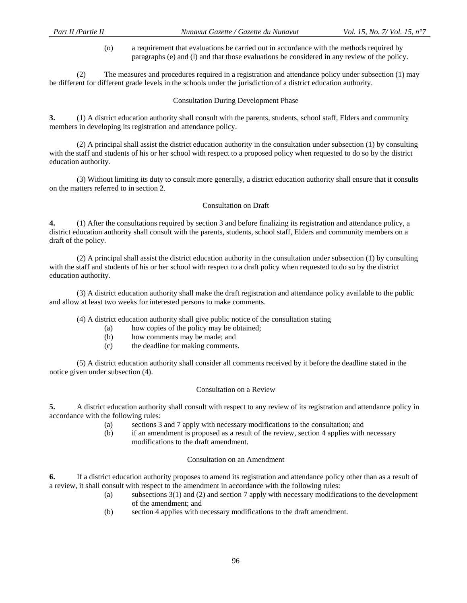(o) a requirement that evaluations be carried out in accordance with the methods required by paragraphs (e) and (l) and that those evaluations be considered in any review of the policy.

(2) The measures and procedures required in a registration and attendance policy under subsection (1) may be different for different grade levels in the schools under the jurisdiction of a district education authority.

### Consultation During Development Phase

**3.** (1) A district education authority shall consult with the parents, students, school staff, Elders and community members in developing its registration and attendance policy.

 (2) A principal shall assist the district education authority in the consultation under subsection (1) by consulting with the staff and students of his or her school with respect to a proposed policy when requested to do so by the district education authority.

 (3) Without limiting its duty to consult more generally, a district education authority shall ensure that it consults on the matters referred to in section 2.

### Consultation on Draft

**4.** (1) After the consultations required by section 3 and before finalizing its registration and attendance policy, a district education authority shall consult with the parents, students, school staff, Elders and community members on a draft of the policy.

 (2) A principal shall assist the district education authority in the consultation under subsection (1) by consulting with the staff and students of his or her school with respect to a draft policy when requested to do so by the district education authority.

 (3) A district education authority shall make the draft registration and attendance policy available to the public and allow at least two weeks for interested persons to make comments.

(4) A district education authority shall give public notice of the consultation stating

- (a) how copies of the policy may be obtained;
- (b) how comments may be made; and
- (c) the deadline for making comments.

 (5) A district education authority shall consider all comments received by it before the deadline stated in the notice given under subsection (4).

### Consultation on a Review

**5.** A district education authority shall consult with respect to any review of its registration and attendance policy in accordance with the following rules:

- (a) sections 3 and 7 apply with necessary modifications to the consultation; and
- (b) if an amendment is proposed as a result of the review, section 4 applies with necessary modifications to the draft amendment.

#### Consultation on an Amendment

**6.** If a district education authority proposes to amend its registration and attendance policy other than as a result of a review, it shall consult with respect to the amendment in accordance with the following rules:

- (a) subsections 3(1) and (2) and section 7 apply with necessary modifications to the development of the amendment; and
- (b) section 4 applies with necessary modifications to the draft amendment.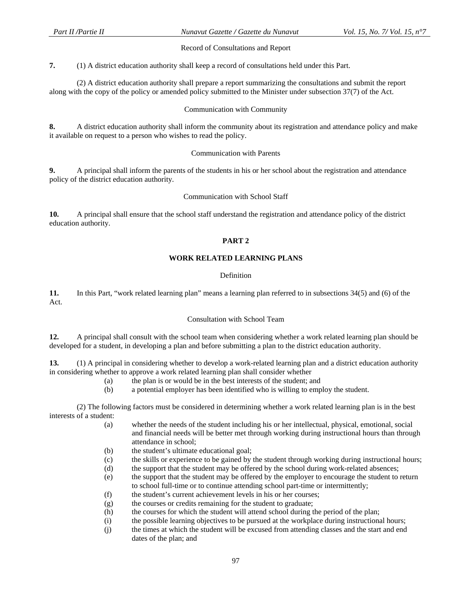### Record of Consultations and Report

**7.** (1) A district education authority shall keep a record of consultations held under this Part.

 (2) A district education authority shall prepare a report summarizing the consultations and submit the report along with the copy of the policy or amended policy submitted to the Minister under subsection 37(7) of the Act.

### Communication with Community

**8.** A district education authority shall inform the community about its registration and attendance policy and make it available on request to a person who wishes to read the policy.

### Communication with Parents

**9.** A principal shall inform the parents of the students in his or her school about the registration and attendance policy of the district education authority.

### Communication with School Staff

**10.** A principal shall ensure that the school staff understand the registration and attendance policy of the district education authority.

# **PART 2**

### **WORK RELATED LEARNING PLANS**

### Definition

**11.** In this Part, "work related learning plan" means a learning plan referred to in subsections 34(5) and (6) of the Act.

#### Consultation with School Team

**12.** A principal shall consult with the school team when considering whether a work related learning plan should be developed for a student, in developing a plan and before submitting a plan to the district education authority.

**13.** (1) A principal in considering whether to develop a work-related learning plan and a district education authority in considering whether to approve a work related learning plan shall consider whether

- (a) the plan is or would be in the best interests of the student; and
- (b) a potential employer has been identified who is willing to employ the student.

(2) The following factors must be considered in determining whether a work related learning plan is in the best interests of a student:

- (a) whether the needs of the student including his or her intellectual, physical, emotional, social and financial needs will be better met through working during instructional hours than through attendance in school;
- (b) the student's ultimate educational goal;
- (c) the skills or experience to be gained by the student through working during instructional hours;
- (d) the support that the student may be offered by the school during work-related absences;
- (e) the support that the student may be offered by the employer to encourage the student to return to school full-time or to continue attending school part-time or intermittently;
- (f) the student's current achievement levels in his or her courses;
- (g) the courses or credits remaining for the student to graduate;
- (h) the courses for which the student will attend school during the period of the plan;
- (i) the possible learning objectives to be pursued at the workplace during instructional hours;
- (j) the times at which the student will be excused from attending classes and the start and end dates of the plan; and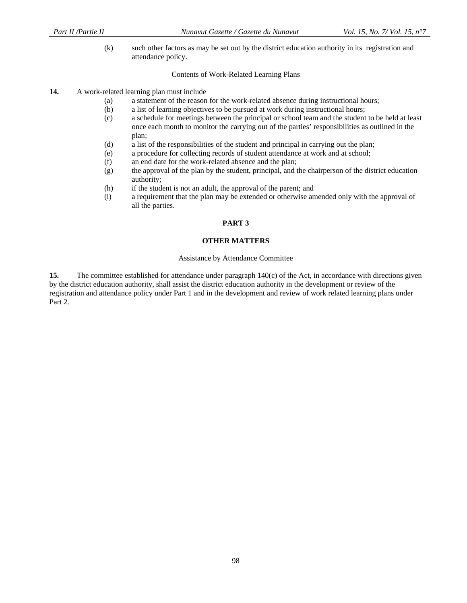(k) such other factors as may be set out by the district education authority in its registration and attendance policy.

### Contents of Work-Related Learning Plans

### **14.** A work-related learning plan must include

- (a) a statement of the reason for the work-related absence during instructional hours;
- (b) a list of learning objectives to be pursued at work during instructional hours;
- (c) a schedule for meetings between the principal or school team and the student to be held at least once each month to monitor the carrying out of the parties' responsibilities as outlined in the plan;
- (d) a list of the responsibilities of the student and principal in carrying out the plan;
- (e) a procedure for collecting records of student attendance at work and at school;
- (f) an end date for the work-related absence and the plan;
- (g) the approval of the plan by the student, principal, and the chairperson of the district education authority;
- (h) if the student is not an adult, the approval of the parent; and
- (i) a requirement that the plan may be extended or otherwise amended only with the approval of all the parties.

### **PART 3**

### **OTHER MATTERS**

#### Assistance by Attendance Committee

**15.** The committee established for attendance under paragraph 140(c) of the Act, in accordance with directions given by the district education authority, shall assist the district education authority in the development or review of the registration and attendance policy under Part 1 and in the development and review of work related learning plans under Part 2.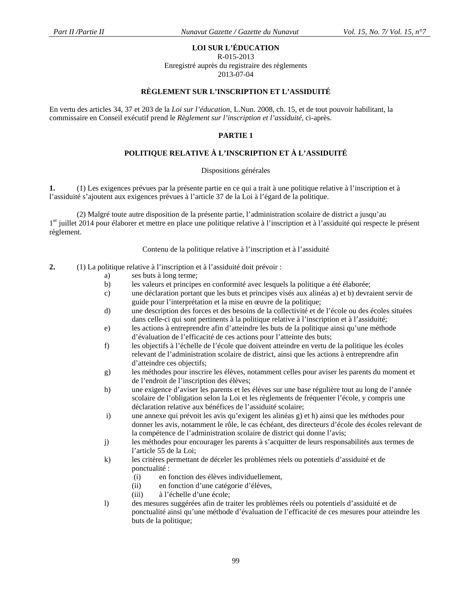# **LOI SUR L'ÉDUCATION**

R-015-2013

Enregistré auprès du registraire des règlements 2013-07-04

### **RÈGLEMENT SUR L'INSCRIPTION ET L'ASSIDUITÉ**

En vertu des articles 34, 37 et 203 de la *Loi sur l'éducation*, L.Nun. 2008, ch. 15, et de tout pouvoir habilitant, la commissaire en Conseil exécutif prend le *Règlement sur l'inscription et l'assiduité,* ci-après.

### **PARTIE 1**

# **POLITIQUE RELATIVE À L'INSCRIPTION ET À L'ASSIDUITÉ**

#### Dispositions générales

**1.** (1) Les exigences prévues par la présente partie en ce qui a trait à une politique relative à l'inscription et à l'assiduité s'ajoutent aux exigences prévues à l'article 37 de la Loi à l'égard de la politique.

 (2) Malgré toute autre disposition de la présente partie, l'administration scolaire de district a jusqu'au  $1<sup>er</sup>$  juillet 2014 pour élaborer et mettre en place une politique relative à l'inscription et à l'assiduité qui respecte le présent règlement.

#### Contenu de la politique relative à l'inscription et à l'assiduité

- **2.** (1) La politique relative à l'inscription et à l'assiduité doit prévoir :
	- a) ses buts à long terme;
	- b) les valeurs et principes en conformité avec lesquels la politique a été élaborée;
	- c) une déclaration portant que les buts et principes visés aux alinéas a) et b) devraient servir de guide pour l'interprétation et la mise en œuvre de la politique;
	- d) une description des forces et des besoins de la collectivité et de l'école ou des écoles situées dans celle-ci qui sont pertinents à la politique relative à l'inscription et à l'assiduité;
	- e) les actions à entreprendre afin d'atteindre les buts de la politique ainsi qu'une méthode d'évaluation de l'efficacité de ces actions pour l'atteinte des buts;
	- f) les objectifs à l'échelle de l'école que doivent atteindre en vertu de la politique les écoles relevant de l'administration scolaire de district, ainsi que les actions à entreprendre afin d'atteindre ces objectifs;
	- g) les méthodes pour inscrire les élèves, notamment celles pour aviser les parents du moment et de l'endroit de l'inscription des élèves;
	- h) une exigence d'aviser les parents et les élèves sur une base régulière tout au long de l'année scolaire de l'obligation selon la Loi et les règlements de fréquenter l'école, y compris une déclaration relative aux bénéfices de l'assiduité scolaire;
	- i) une annexe qui prévoit les avis qu'exigent les alinéas g) et h) ainsi que les méthodes pour donner les avis, notamment le rôle, le cas échéant, des directeurs d'école des écoles relevant de la compétence de l'administration scolaire de district qui donne l'avis;
	- j) les méthodes pour encourager les parents à s'acquitter de leurs responsabilités aux termes de l'article 55 de la Loi;
	- k) les critères permettant de déceler les problèmes réels ou potentiels d'assiduité et de ponctualité :
		- (i) en fonction des élèves individuellement,
		- (ii) en fonction d'une catégorie d'élèves,
		- (iii) à l'échelle d'une école;
	- l) des mesures suggérées afin de traiter les problèmes réels ou potentiels d'assiduité et de ponctualité ainsi qu'une méthode d'évaluation de l'efficacité de ces mesures pour atteindre les buts de la politique;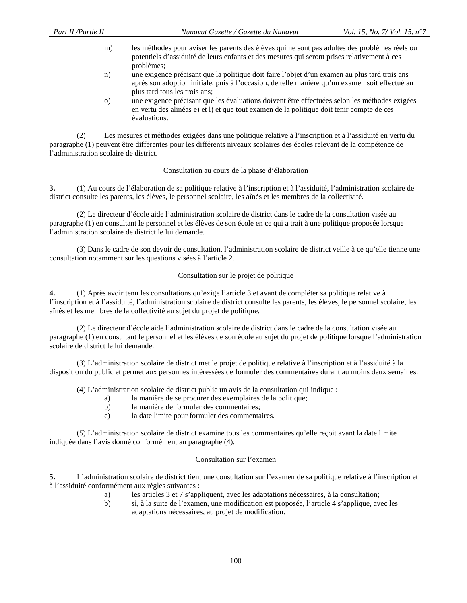- m) les méthodes pour aviser les parents des élèves qui ne sont pas adultes des problèmes réels ou potentiels d'assiduité de leurs enfants et des mesures qui seront prises relativement à ces problèmes;
- n) une exigence précisant que la politique doit faire l'objet d'un examen au plus tard trois ans après son adoption initiale, puis à l'occasion, de telle manière qu'un examen soit effectué au plus tard tous les trois ans;
- o) une exigence précisant que les évaluations doivent être effectuées selon les méthodes exigées en vertu des alinéas e) et l) et que tout examen de la politique doit tenir compte de ces évaluations.

(2) Les mesures et méthodes exigées dans une politique relative à l'inscription et à l'assiduité en vertu du paragraphe (1) peuvent être différentes pour les différents niveaux scolaires des écoles relevant de la compétence de l'administration scolaire de district.

### Consultation au cours de la phase d'élaboration

**3.** (1) Au cours de l'élaboration de sa politique relative à l'inscription et à l'assiduité, l'administration scolaire de district consulte les parents, les élèves, le personnel scolaire, les aînés et les membres de la collectivité.

 (2) Le directeur d'école aide l'administration scolaire de district dans le cadre de la consultation visée au paragraphe (1) en consultant le personnel et les élèves de son école en ce qui a trait à une politique proposée lorsque l'administration scolaire de district le lui demande.

 (3) Dans le cadre de son devoir de consultation, l'administration scolaire de district veille à ce qu'elle tienne une consultation notamment sur les questions visées à l'article 2.

### Consultation sur le projet de politique

**4.** (1) Après avoir tenu les consultations qu'exige l'article 3 et avant de compléter sa politique relative à l'inscription et à l'assiduité, l'administration scolaire de district consulte les parents, les élèves, le personnel scolaire, les aînés et les membres de la collectivité au sujet du projet de politique.

 (2) Le directeur d'école aide l'administration scolaire de district dans le cadre de la consultation visée au paragraphe (1) en consultant le personnel et les élèves de son école au sujet du projet de politique lorsque l'administration scolaire de district le lui demande.

 (3) L'administration scolaire de district met le projet de politique relative à l'inscription et à l'assiduité à la disposition du public et permet aux personnes intéressées de formuler des commentaires durant au moins deux semaines.

(4) L'administration scolaire de district publie un avis de la consultation qui indique :

- a) la manière de se procurer des exemplaires de la politique;
- b) la manière de formuler des commentaires;
- c) la date limite pour formuler des commentaires.

 (5) L'administration scolaire de district examine tous les commentaires qu'elle reçoit avant la date limite indiquée dans l'avis donné conformément au paragraphe (4).

### Consultation sur l'examen

**5.** L'administration scolaire de district tient une consultation sur l'examen de sa politique relative à l'inscription et à l'assiduité conformément aux règles suivantes :

- a) les articles 3 et 7 s'appliquent, avec les adaptations nécessaires, à la consultation;
- b) si, à la suite de l'examen, une modification est proposée, l'article 4 s'applique, avec les adaptations nécessaires, au projet de modification.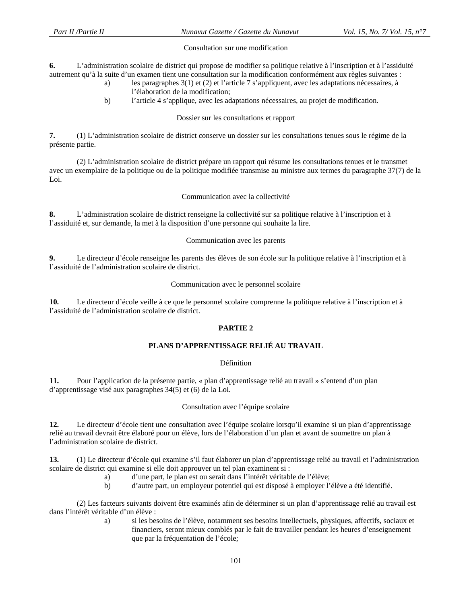### Consultation sur une modification

**6.** L'administration scolaire de district qui propose de modifier sa politique relative à l'inscription et à l'assiduité autrement qu'à la suite d'un examen tient une consultation sur la modification conformément aux règles suivantes :

- a) les paragraphes 3(1) et (2) et l'article 7 s'appliquent, avec les adaptations nécessaires, à l'élaboration de la modification;
- b) l'article 4 s'applique, avec les adaptations nécessaires, au projet de modification.

### Dossier sur les consultations et rapport

**7.** (1) L'administration scolaire de district conserve un dossier sur les consultations tenues sous le régime de la présente partie.

 (2) L'administration scolaire de district prépare un rapport qui résume les consultations tenues et le transmet avec un exemplaire de la politique ou de la politique modifiée transmise au ministre aux termes du paragraphe 37(7) de la Loi.

### Communication avec la collectivité

**8.** L'administration scolaire de district renseigne la collectivité sur sa politique relative à l'inscription et à l'assiduité et, sur demande, la met à la disposition d'une personne qui souhaite la lire.

### Communication avec les parents

**9.** Le directeur d'école renseigne les parents des élèves de son école sur la politique relative à l'inscription et à l'assiduité de l'administration scolaire de district.

### Communication avec le personnel scolaire

**10.** Le directeur d'école veille à ce que le personnel scolaire comprenne la politique relative à l'inscription et à l'assiduité de l'administration scolaire de district.

### **PARTIE 2**

# **PLANS D'APPRENTISSAGE RELIÉ AU TRAVAIL**

#### **Définition**

**11.** Pour l'application de la présente partie, « plan d'apprentissage relié au travail » s'entend d'un plan d'apprentissage visé aux paragraphes 34(5) et (6) de la Loi.

### Consultation avec l'équipe scolaire

**12.** Le directeur d'école tient une consultation avec l'équipe scolaire lorsqu'il examine si un plan d'apprentissage relié au travail devrait être élaboré pour un élève, lors de l'élaboration d'un plan et avant de soumettre un plan à l'administration scolaire de district.

**13.** (1) Le directeur d'école qui examine s'il faut élaborer un plan d'apprentissage relié au travail et l'administration scolaire de district qui examine si elle doit approuver un tel plan examinent si :

- a) d'une part, le plan est ou serait dans l'intérêt véritable de l'élève;
- b) d'autre part, un employeur potentiel qui est disposé à employer l'élève a été identifié.

(2) Les facteurs suivants doivent être examinés afin de déterminer si un plan d'apprentissage relié au travail est dans l'intérêt véritable d'un élève :

> a) si les besoins de l'élève, notamment ses besoins intellectuels, physiques, affectifs, sociaux et financiers, seront mieux comblés par le fait de travailler pendant les heures d'enseignement que par la fréquentation de l'école;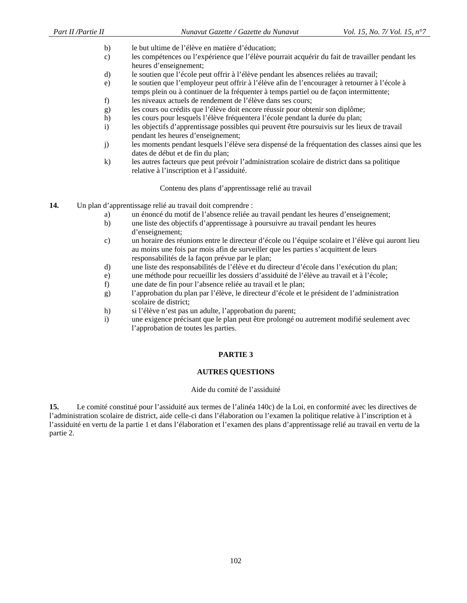- b) le but ultime de l'élève en matière d'éducation;
- c) les compétences ou l'expérience que l'élève pourrait acquérir du fait de travailler pendant les heures d'enseignement;
- d) le soutien que l'école peut offrir à l'élève pendant les absences reliées au travail;
- e) le soutien que l'employeur peut offrir à l'élève afin de l'encourager à retourner à l'école à temps plein ou à continuer de la fréquenter à temps partiel ou de façon intermittente;
- f) les niveaux actuels de rendement de l'élève dans ses cours;
- g) les cours ou crédits que l'élève doit encore réussir pour obtenir son diplôme;
- h) les cours pour lesquels l'élève fréquentera l'école pendant la durée du plan;
- i) les objectifs d'apprentissage possibles qui peuvent être poursuivis sur les lieux de travail pendant les heures d'enseignement;
- j) les moments pendant lesquels l'élève sera dispensé de la fréquentation des classes ainsi que les dates de début et de fin du plan;
- k) les autres facteurs que peut prévoir l'administration scolaire de district dans sa politique relative à l'inscription et à l'assiduité.

Contenu des plans d'apprentissage relié au travail

- **14.** Un plan d'apprentissage relié au travail doit comprendre :
	- a) un énoncé du motif de l'absence reliée au travail pendant les heures d'enseignement;
	- b) une liste des objectifs d'apprentissage à poursuivre au travail pendant les heures d'enseignement;
	- c) un horaire des réunions entre le directeur d'école ou l'équipe scolaire et l'élève qui auront lieu au moins une fois par mois afin de surveiller que les parties s'acquittent de leurs responsabilités de la façon prévue par le plan;
	- d) une liste des responsabilités de l'élève et du directeur d'école dans l'exécution du plan;
	- e) une méthode pour recueillir les dossiers d'assiduité de l'élève au travail et à l'école;
	- f) une date de fin pour l'absence reliée au travail et le plan;
	- g) l'approbation du plan par l'élève, le directeur d'école et le président de l'administration scolaire de district;
	- h) si l'élève n'est pas un adulte, l'approbation du parent;
	- i) une exigence précisant que le plan peut être prolongé ou autrement modifié seulement avec l'approbation de toutes les parties.

### **PARTIE 3**

#### **AUTRES QUESTIONS**

#### Aide du comité de l'assiduité

**15.** Le comité constitué pour l'assiduité aux termes de l'alinéa 140c) de la Loi, en conformité avec les directives de l'administration scolaire de district, aide celle-ci dans l'élaboration ou l'examen la politique relative à l'inscription et à l'assiduité en vertu de la partie 1 et dans l'élaboration et l'examen des plans d'apprentissage relié au travail en vertu de la partie 2.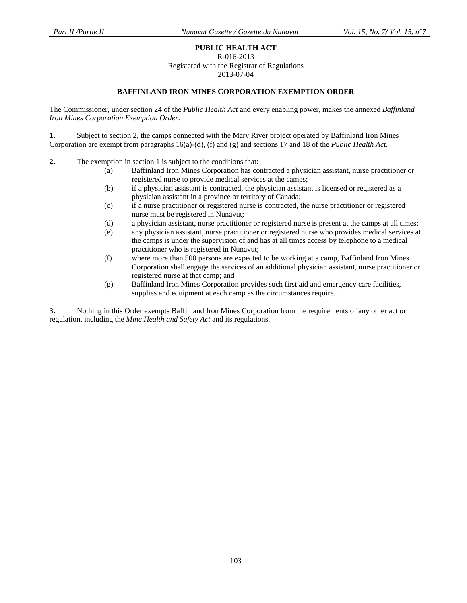### **PUBLIC HEALTH ACT**

R-016-2013

Registered with the Registrar of Regulations

2013-07-04

### **BAFFINLAND IRON MINES CORPORATION EXEMPTION ORDER**

The Commissioner, under section 24 of the *Public Health Act* and every enabling power, makes the annexed *Baffinland Iron Mines Corporation Exemption Order*.

**1.** Subject to section 2, the camps connected with the Mary River project operated by Baffinland Iron Mines Corporation are exempt from paragraphs 16(a)-(d), (f) and (g) and sections 17 and 18 of the *Public Health Act*.

- **2.** The exemption in section 1 is subject to the conditions that:
	- (a) Baffinland Iron Mines Corporation has contracted a physician assistant, nurse practitioner or registered nurse to provide medical services at the camps;
	- (b) if a physician assistant is contracted, the physician assistant is licensed or registered as a physician assistant in a province or territory of Canada;
	- (c) if a nurse practitioner or registered nurse is contracted, the nurse practitioner or registered nurse must be registered in Nunavut;
	- (d) a physician assistant, nurse practitioner or registered nurse is present at the camps at all times;
	- (e) any physician assistant, nurse practitioner or registered nurse who provides medical services at the camps is under the supervision of and has at all times access by telephone to a medical practitioner who is registered in Nunavut;
	- (f) where more than 500 persons are expected to be working at a camp, Baffinland Iron Mines Corporation shall engage the services of an additional physician assistant, nurse practitioner or registered nurse at that camp; and
	- (g) Baffinland Iron Mines Corporation provides such first aid and emergency care facilities, supplies and equipment at each camp as the circumstances require.

**3.** Nothing in this Order exempts Baffinland Iron Mines Corporation from the requirements of any other act or regulation, including the *Mine Health and Safety Act* and its regulations.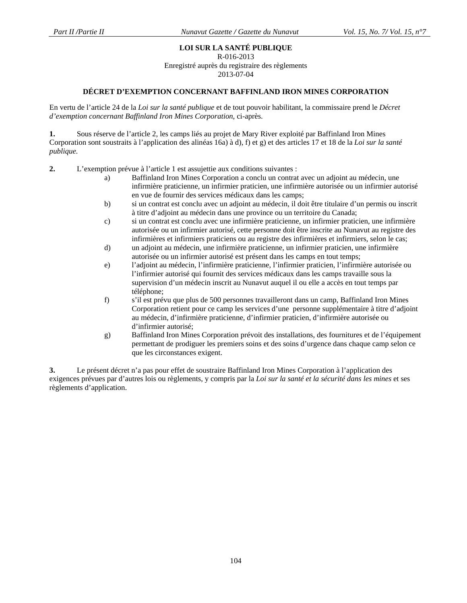# **LOI SUR LA SANTÉ PUBLIQUE**

R-016-2013

Enregistré auprès du registraire des règlements

2013-07-04

### **DÉCRET D'EXEMPTION CONCERNANT BAFFINLAND IRON MINES CORPORATION**

En vertu de l'article 24 de la *Loi sur la santé publique* et de tout pouvoir habilitant, la commissaire prend le *Décret d'exemption concernant Baffinland Iron Mines Corporation*, ci-après.

**1.** Sous réserve de l'article 2, les camps liés au projet de Mary River exploité par Baffinland Iron Mines Corporation sont soustraits à l'application des alinéas 16a) à d), f) et g) et des articles 17 et 18 de la *Loi sur la santé publique.*

**2.** L'exemption prévue à l'article 1 est assujettie aux conditions suivantes :

- a) Baffinland Iron Mines Corporation a conclu un contrat avec un adjoint au médecin, une infirmière praticienne, un infirmier praticien, une infirmière autorisée ou un infirmier autorisé en vue de fournir des services médicaux dans les camps;
- b) si un contrat est conclu avec un adjoint au médecin, il doit être titulaire d'un permis ou inscrit à titre d'adjoint au médecin dans une province ou un territoire du Canada;
- c) si un contrat est conclu avec une infirmière praticienne, un infirmier praticien, une infirmière autorisée ou un infirmier autorisé, cette personne doit être inscrite au Nunavut au registre des infirmières et infirmiers praticiens ou au registre des infirmières et infirmiers, selon le cas;
- d) un adjoint au médecin, une infirmière praticienne, un infirmier praticien, une infirmière autorisée ou un infirmier autorisé est présent dans les camps en tout temps;
- e) l'adjoint au médecin, l'infirmière praticienne, l'infirmier praticien, l'infirmière autorisée ou l'infirmier autorisé qui fournit des services médicaux dans les camps travaille sous la supervision d'un médecin inscrit au Nunavut auquel il ou elle a accès en tout temps par téléphone;
- f) s'il est prévu que plus de 500 personnes travailleront dans un camp, Baffinland Iron Mines Corporation retient pour ce camp les services d'une personne supplémentaire à titre d'adjoint au médecin, d'infirmière praticienne, d'infirmier praticien, d'infirmière autorisée ou d'infirmier autorisé;
- g) Baffinland Iron Mines Corporation prévoit des installations, des fournitures et de l'équipement permettant de prodiguer les premiers soins et des soins d'urgence dans chaque camp selon ce que les circonstances exigent.

**3.** Le présent décret n'a pas pour effet de soustraire Baffinland Iron Mines Corporation à l'application des exigences prévues par d'autres lois ou règlements, y compris par la *Loi sur la santé et la sécurité dans les mines* et ses règlements d'application.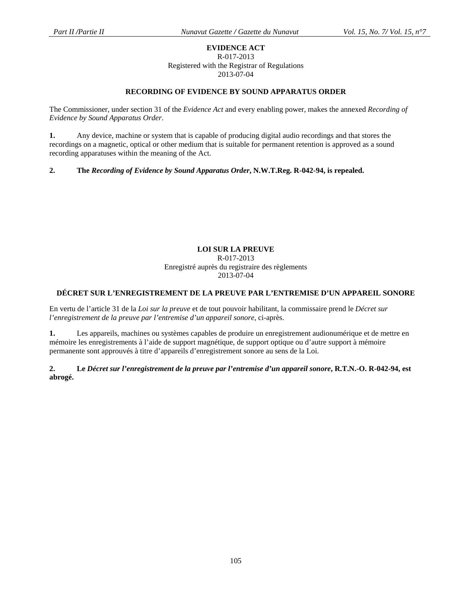### **EVIDENCE ACT**  R-017-2013 Registered with the Registrar of Regulations 2013-07-04

# **RECORDING OF EVIDENCE BY SOUND APPARATUS ORDER**

The Commissioner, under section 31 of the *Evidence Act* and every enabling power, makes the annexed *Recording of Evidence by Sound Apparatus Order*.

**1.** Any device, machine or system that is capable of producing digital audio recordings and that stores the recordings on a magnetic, optical or other medium that is suitable for permanent retention is approved as a sound recording apparatuses within the meaning of the Act.

**2. The** *Recording of Evidence by Sound Apparatus Order***, N.W.T.Reg. R-042-94, is repealed.** 

### **LOI SUR LA PREUVE**  R-017-2013 Enregistré auprès du registraire des règlements 2013-07-04

# **DÉCRET SUR L'ENREGISTREMENT DE LA PREUVE PAR L'ENTREMISE D'UN APPAREIL SONORE**

En vertu de l'article 31 de la *Loi sur la preuve* et de tout pouvoir habilitant, la commissaire prend le *Décret sur l'enregistrement de la preuve par l'entremise d'un appareil sonore*, ci-après.

**1.** Les appareils, machines ou systèmes capables de produire un enregistrement audionumérique et de mettre en mémoire les enregistrements à l'aide de support magnétique, de support optique ou d'autre support à mémoire permanente sont approuvés à titre d'appareils d'enregistrement sonore au sens de la Loi.

**2. Le** *Décret sur l'enregistrement de la preuve par l'entremise d'un appareil sonore***, R.T.N.-O. R-042-94, est abrogé.**